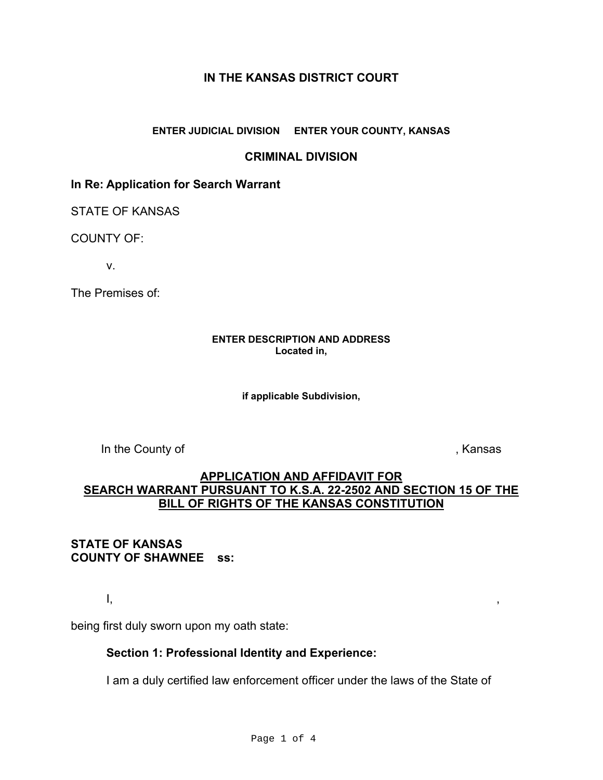## **IN THE KANSAS DISTRICT COURT**

### **ENTER JUDICIAL DIVISION ENTER YOUR COUNTY, KANSAS**

## **CRIMINAL DIVISION**

## **In Re: Application for Search Warrant**

STATE OF KANSAS

COUNTY OF:

v.

The Premises of:

#### **ENTER DESCRIPTION AND ADDRESS Located in,**

**if applicable Subdivision,** 

In the County of **Example 2** and the County of **Algebra** 2 and the *S* and *Algebra* 2 and *Algebra* 2 and *Algebra* 2 and *Algebra* 2 and *Algebra* 2 and *Algebra* 2 and *Algebra* 2 and *Algebra* 2 and *Algebra* 2 and *Al* 

# **APPLICATION AND AFFIDAVIT FOR SEARCH WARRANT PURSUANT TO K.S.A. 22-2502 AND SECTION 15 OF THE BILL OF RIGHTS OF THE KANSAS CONSTITUTION**

# **COUNTY OF SHAWNEE ss: STATE OF KANSAS**

I, ,

being first duly sworn upon my oath state:

### **Section 1: Professional Identity and Experience:**

I am a duly certified law enforcement officer under the laws of<br>Page  $1 \circ f$  4 I am a duly certified law enforcement officer under the laws of the State of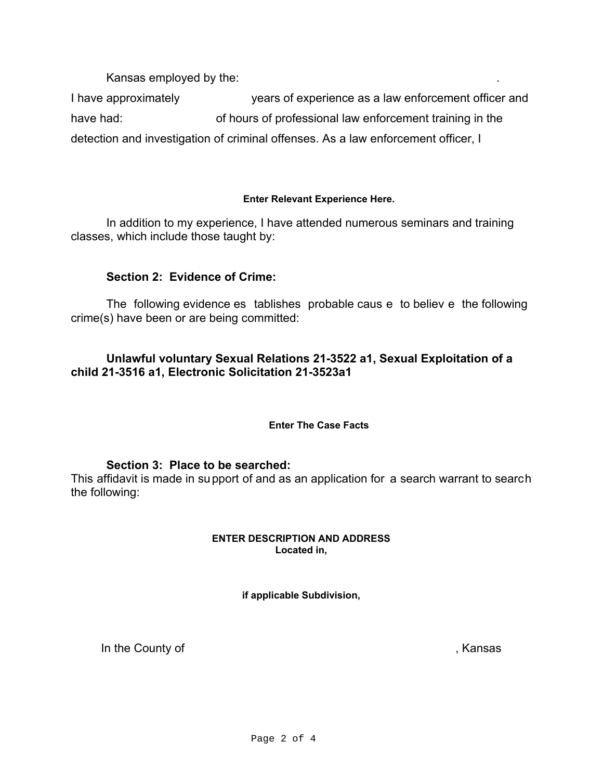Kansas employed by the:

I have approximately years of experience as a law enforcement officer and have had: of hours of professional law enforcement training in the detection and investigation of criminal offenses. As a law enforcement officer, I

### **Enter Relevant Experience Here.**

In addition to my experience, I have attended numerous seminars and training classes, which include those taught by:

# **Section 2: Evidence of Crime:**

The following evidence es tablishes probable caus e to believ e the following crime(s) have been or are being committed:

# **Unlawful voluntary Sexual Relations 21-3522 a1, Sexual Exploitation of a child 21-3516 a1, Electronic Solicitation 21-3523a1**

### **Enter The Case Facts**

## **Section 3: Place to be searched:**

This affidavit is made in support of and as an application for a search warrant to search the following:

#### **ENTER DESCRIPTION AND ADDRESS Located in,**

**if applicable Subdivision,** 

In the County of , Kansas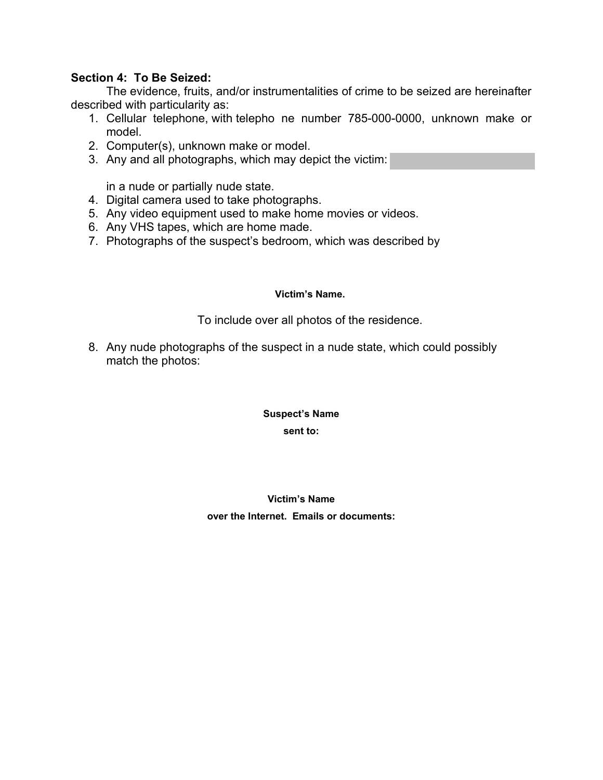## **Section 4: To Be Seized:**

The evidence, fruits, and/or instrumentalities of crime to be seized are hereinafter described with particularity as:

- 1. Cellular telephone, with telepho ne number 785-000-0000, unknown make or model.
- 2. Computer(s), unknown make or model.
- 3. Any and all photographs, which may depict the victim:

in a nude or partially nude state.

- 4. Digital camera used to take photographs.
- 5. Any video equipment used to make home movies or videos.
- 6. Any VHS tapes, which are home made.
- 7. Photographs of the suspect's bedroom, which was described by

#### **Victim's Name.**

To include over all photos of the residence.

8. Any nude photographs of the suspect in a nude state, which could possibly match the photos:

#### **Suspect's Name**

**sent to:** 

# **Victim's Name over the Internet. Emails or documents:**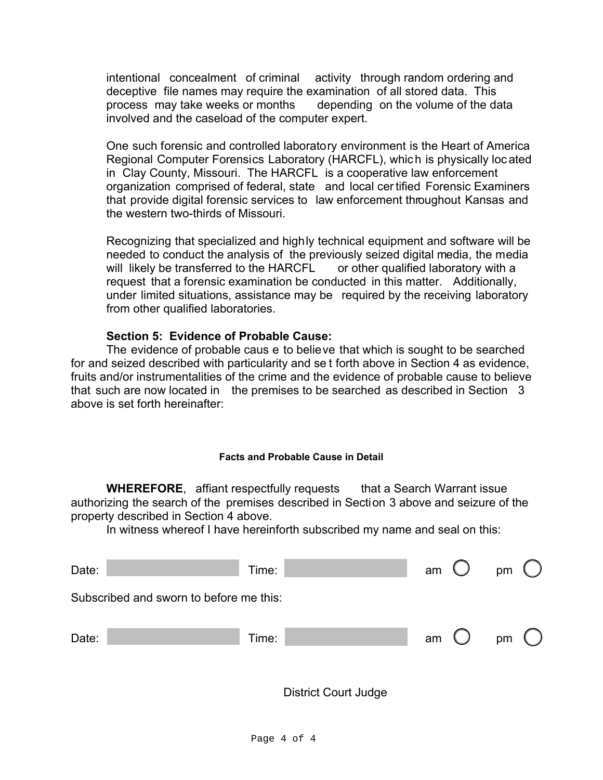intentional concealment of criminal activity through random ordering and deceptive file names may require the examination of all stored data. This process may take weeks or months depending on the volume of the data involved and the caseload of the computer expert.

 in Clay County, Missouri. The HARCFL is a cooperative law enforcement One such forensic and controlled laboratory environment is the Heart of America Regional Computer Forensics Laboratory (HARCFL), which is physically loc ated organization comprised of federal, state and local cer tified Forensic Examiners that provide digital forensic services to law enforcement throughout Kansas and the western two-thirds of Missouri.

Recognizing that specialized and highly technical equipment and software will be needed to conduct the analysis of the previously seized digital media, the media will likely be transferred to the HARCFL or other qualified laboratory with a request that a forensic examination be conducted in this matter. Additionally, under limited situations, assistance may be required by the receiving laboratory from other qualified laboratories.

## **Section 5: Evidence of Probable Cause:**

The evidence of probable caus e to believe that which is sought to be searched for and seized described with particularity and se t forth above in Section 4 as evidence, fruits and/or instrumentalities of the crime and the evidence of probable cause to believe that such are now located in the premises to be searched as described in Section 3 above is set forth hereinafter:

### **Facts and Probable Cause in Detail**

**WHEREFORE,** affiant respectfully requests that a Search Warrant issue authorizing the search of the premises described in Section 3 above and seizure of the property described in Section 4 above.

In witness whereof I have hereinforth subscribed my name and seal on this:

| Date:                                   | Time:       |  | am |        | pm           |  |  |  |
|-----------------------------------------|-------------|--|----|--------|--------------|--|--|--|
| Subscribed and sworn to before me this: |             |  |    |        |              |  |  |  |
| Date:                                   | Time:       |  | am | $\cup$ | pm $\bigcup$ |  |  |  |
| <b>District Court Judge</b>             |             |  |    |        |              |  |  |  |
|                                         | Page 4 of 4 |  |    |        |              |  |  |  |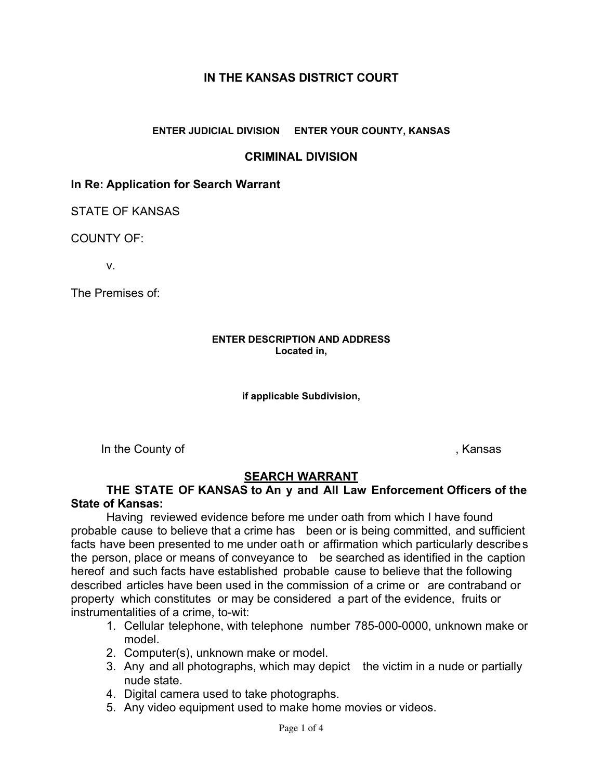# **IN THE KANSAS DISTRICT COURT**

### **ENTER JUDICIAL DIVISION ENTER YOUR COUNTY, KANSAS**

## **CRIMINAL DIVISION**

## **In Re: Application for Search Warrant**

STATE OF KANSAS

COUNTY OF:

v.

The Premises of:

#### **ENTER DESCRIPTION AND ADDRESS Located in,**

#### **if applicable Subdivision,**

In the County of **Example 2** and the County of **Algebra** 2 and the *S* and *Algebra* 2 and *Algebra* 2 and *Algebra* 2 and *Algebra* 2 and *Algebra* 2 and *Algebra* 2 and *Algebra* 2 and *Algebra* 2 and *Algebra* 2 and *Al* 

## **SEARCH WARRANT**

## THE STATE OF KANSAS to An y and All Law Enforcement Officers of the **State of Kansas:**

Having reviewed evidence before me under oath from which I have found probable cause to believe that a crime has been or is being committed, and sufficient facts have been presented to me under oath or affirmation which particularly describe s the person, place or means of conveyance to be searched as identified in the caption hereof and such facts have established probable cause to believe that the following described articles have been used in the commission of a crime or are contraband or property which constitutes or may be considered a part of the evidence, fruits or instrumentalities of a crime, to-wit:

- 1. Cellular telephone, with telephone number 785-000-0000, unknown make or model.
- 2. Computer(s), unknown make or model.
- 3. Any and all photographs, which may depict the victim in a nude or partially<br>nude state.<br>4. Digital camera used to take photographs.<br>5. Any video equipment used to make home movies or videos.<br>Page 1 of 4 3. Any and all photographs, which may depict the victim in a nude or partially nude state.
	- 4. Digital camera used to take photographs.
	- 5. Any video equipment used to make home movies or videos.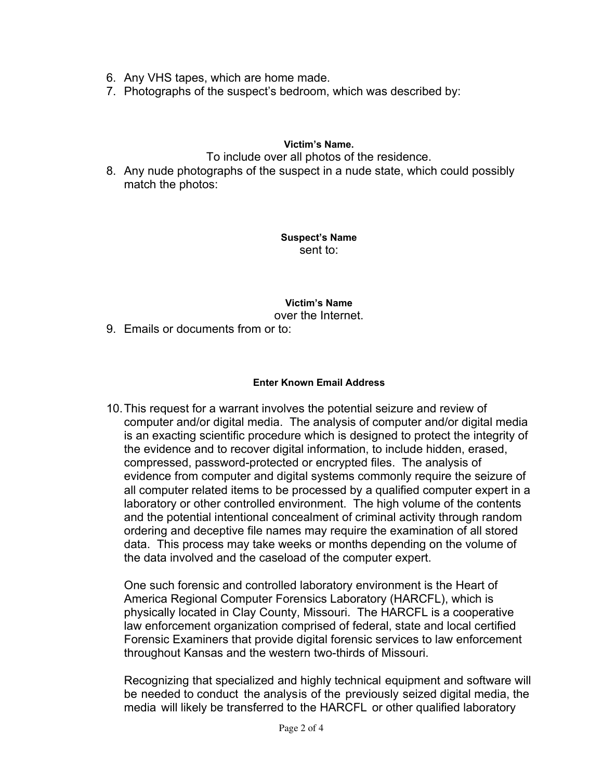- 6. Any VHS tapes, which are home made.
- 7. Photographs of the suspect's bedroom, which was described by:

### **Victim's Name.**

To include over all photos of the residence.

8. Any nude photographs of the suspect in a nude state, which could possibly match the photos:

> **Suspect's Name**  sent to:

**Victim's Name**  over the Internet.

9. Emails or documents from or to:

### **Enter Known Email Address**

10.This request for a warrant involves the potential seizure and review of computer and/or digital media. The analysis of computer and/or digital media is an exacting scientific procedure which is designed to protect the integrity of the evidence and to recover digital information, to include hidden, erased, compressed, password-protected or encrypted files. The analysis of evidence from computer and digital systems commonly require the seizure of all computer related items to be processed by a qualified computer expert in a laboratory or other controlled environment. The high volume of the contents and the potential intentional concealment of criminal activity through random ordering and deceptive file names may require the examination of all stored data. This process may take weeks or months depending on the volume of the data involved and the caseload of the computer expert.

One such forensic and controlled laboratory environment is the Heart of America Regional Computer Forensics Laboratory (HARCFL), which is physically located in Clay County, Missouri. The HARCFL is a cooperative law enforcement organization comprised of federal, state and local certified Forensic Examiners that provide digital forensic services to law enforcement throughout Kansas and the western two-thirds of Missouri.

Recognizing that specialized and highly technical equipment and software will<br>be needed to conduct the analysis of the previously seized digital media, the<br>media will likely be transferred to the HARCFL or other qualified Recognizing that specialized and highly technical equipment and software will be needed to conduct the analysis of the previously seized digital media, the media will likely be transferred to the HARCFL or other qualified laboratory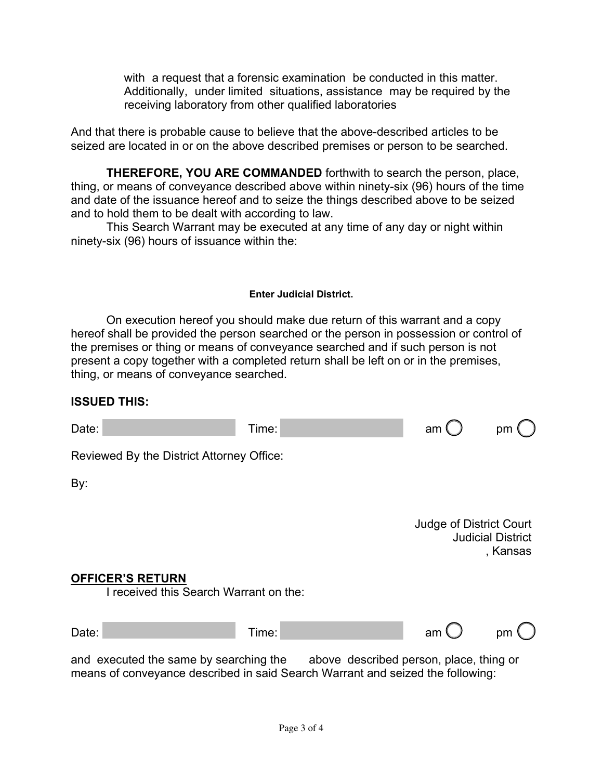receiving laboratory from other qualified laboratories with a request that a forensic examination be conducted in this matter. Additionally, under limited situations, assistance may be required by the

And that there is probable cause to believe that the above-described articles to be seized are located in or on the above described premises or person to be searched.

**THEREFORE, YOU ARE COMMANDED** forthwith to search the person, place, thing, or means of conveyance described above within ninety-six (96) hours of the time and date of the issuance hereof and to seize the things described above to be seized and to hold them to be dealt with according to law.

This Search Warrant may be executed at any time of any day or night within ninety-six (96) hours of issuance within the:

### **Enter Judicial District.**

On execution hereof you should make due return of this warrant and a copy hereof shall be provided the person searched or the person in possession or control of the premises or thing or means of conveyance searched and if such person is not present a copy together with a completed return shall be left on or in the premises, thing, or means of conveyance searched.

## **ISSUED THIS:**

| Date:                                                                                                                                                            | Time:       | am                             | pm                                   |
|------------------------------------------------------------------------------------------------------------------------------------------------------------------|-------------|--------------------------------|--------------------------------------|
| Reviewed By the District Attorney Office:                                                                                                                        |             |                                |                                      |
| By:                                                                                                                                                              |             |                                |                                      |
|                                                                                                                                                                  |             | <b>Judge of District Court</b> | <b>Judicial District</b><br>, Kansas |
| <b>OFFICER'S RETURN</b><br>I received this Search Warrant on the:                                                                                                |             |                                |                                      |
| Date:                                                                                                                                                            | Time:       | am                             | pm $\mathcal{L}$                     |
| and executed the same by searching the above described person, place, thing or<br>means of conveyance described in said Search Warrant and seized the following: |             |                                |                                      |
|                                                                                                                                                                  | Page 3 of 4 |                                |                                      |
|                                                                                                                                                                  |             |                                |                                      |